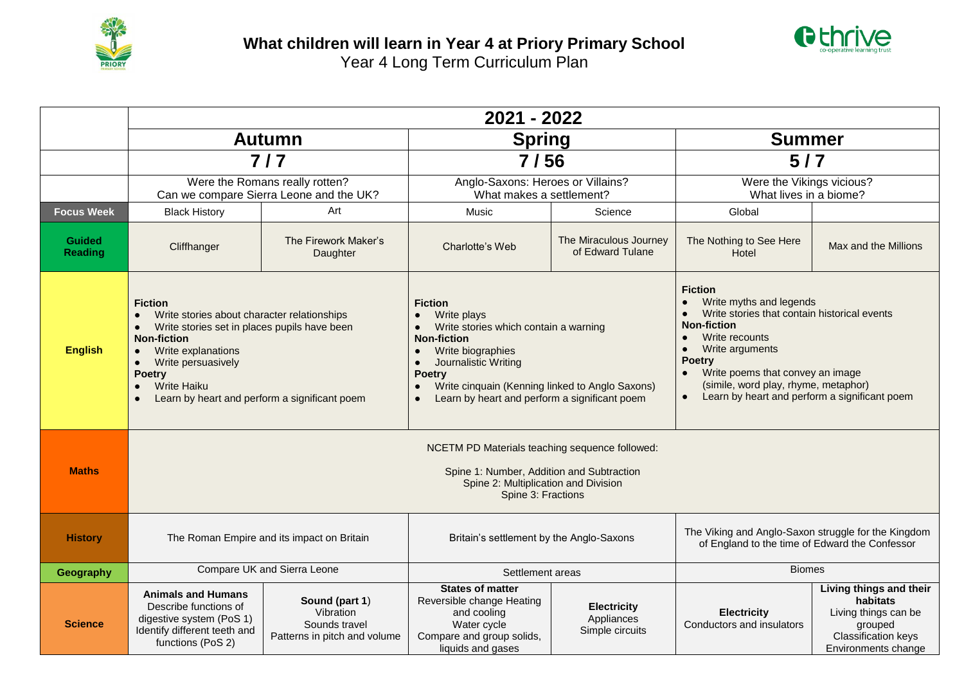



|                                 | 2021 - 2022                                                                                                                                                                                                                                                                                             |                                                                              |                                                                                                                                                                                                                                                                                                                                              |                                                     |                                                                                                                                                                                                                                                                                                                                           |                                                                                                                      |  |  |  |  |
|---------------------------------|---------------------------------------------------------------------------------------------------------------------------------------------------------------------------------------------------------------------------------------------------------------------------------------------------------|------------------------------------------------------------------------------|----------------------------------------------------------------------------------------------------------------------------------------------------------------------------------------------------------------------------------------------------------------------------------------------------------------------------------------------|-----------------------------------------------------|-------------------------------------------------------------------------------------------------------------------------------------------------------------------------------------------------------------------------------------------------------------------------------------------------------------------------------------------|----------------------------------------------------------------------------------------------------------------------|--|--|--|--|
|                                 | <b>Autumn</b><br>$7/7$                                                                                                                                                                                                                                                                                  |                                                                              | <b>Spring</b><br>7/56                                                                                                                                                                                                                                                                                                                        |                                                     | <b>Summer</b><br>$5/7$                                                                                                                                                                                                                                                                                                                    |                                                                                                                      |  |  |  |  |
|                                 |                                                                                                                                                                                                                                                                                                         |                                                                              |                                                                                                                                                                                                                                                                                                                                              |                                                     |                                                                                                                                                                                                                                                                                                                                           |                                                                                                                      |  |  |  |  |
|                                 | Were the Romans really rotten?<br>Can we compare Sierra Leone and the UK?                                                                                                                                                                                                                               |                                                                              | Anglo-Saxons: Heroes or Villains?<br>What makes a settlement?                                                                                                                                                                                                                                                                                |                                                     | Were the Vikings vicious?<br>What lives in a biome?                                                                                                                                                                                                                                                                                       |                                                                                                                      |  |  |  |  |
| <b>Focus Week</b>               | <b>Black History</b>                                                                                                                                                                                                                                                                                    | Art                                                                          | Music                                                                                                                                                                                                                                                                                                                                        | Science                                             | Global                                                                                                                                                                                                                                                                                                                                    |                                                                                                                      |  |  |  |  |
| <b>Guided</b><br><b>Reading</b> | Cliffhanger                                                                                                                                                                                                                                                                                             | The Firework Maker's<br>Daughter                                             | Charlotte's Web                                                                                                                                                                                                                                                                                                                              | The Miraculous Journey<br>of Edward Tulane          | The Nothing to See Here<br>Hotel                                                                                                                                                                                                                                                                                                          | Max and the Millions                                                                                                 |  |  |  |  |
| <b>English</b>                  | <b>Fiction</b><br>Write stories about character relationships<br>Write stories set in places pupils have been<br>$\bullet$<br><b>Non-fiction</b><br>Write explanations<br>$\bullet$<br>Write persuasively<br>$\bullet$<br><b>Poetry</b><br>Write Haiku<br>Learn by heart and perform a significant poem |                                                                              | <b>Fiction</b><br>Write plays<br>$\bullet$<br>Write stories which contain a warning<br>$\bullet$<br><b>Non-fiction</b><br>Write biographies<br>$\bullet$<br>Journalistic Writing<br>$\bullet$<br><b>Poetry</b><br>Write cinquain (Kenning linked to Anglo Saxons)<br>$\bullet$<br>Learn by heart and perform a significant poem<br>$\bullet$ |                                                     | <b>Fiction</b><br>Write myths and legends<br>Write stories that contain historical events<br><b>Non-fiction</b><br>Write recounts<br>$\bullet$<br>Write arguments<br>$\bullet$<br><b>Poetry</b><br>Write poems that convey an image<br>$\bullet$<br>(simile, word play, rhyme, metaphor)<br>Learn by heart and perform a significant poem |                                                                                                                      |  |  |  |  |
| <b>Maths</b>                    | NCETM PD Materials teaching sequence followed:<br>Spine 1: Number, Addition and Subtraction<br>Spine 2: Multiplication and Division<br>Spine 3: Fractions                                                                                                                                               |                                                                              |                                                                                                                                                                                                                                                                                                                                              |                                                     |                                                                                                                                                                                                                                                                                                                                           |                                                                                                                      |  |  |  |  |
| <b>History</b>                  | The Roman Empire and its impact on Britain                                                                                                                                                                                                                                                              |                                                                              | Britain's settlement by the Anglo-Saxons                                                                                                                                                                                                                                                                                                     |                                                     | The Viking and Anglo-Saxon struggle for the Kingdom<br>of England to the time of Edward the Confessor                                                                                                                                                                                                                                     |                                                                                                                      |  |  |  |  |
| Geography                       |                                                                                                                                                                                                                                                                                                         | Compare UK and Sierra Leone                                                  | Settlement areas                                                                                                                                                                                                                                                                                                                             |                                                     | <b>Biomes</b>                                                                                                                                                                                                                                                                                                                             |                                                                                                                      |  |  |  |  |
| <b>Science</b>                  | <b>Animals and Humans</b><br>Describe functions of<br>digestive system (PoS 1)<br>Identify different teeth and<br>functions (PoS 2)                                                                                                                                                                     | Sound (part 1)<br>Vibration<br>Sounds travel<br>Patterns in pitch and volume | <b>States of matter</b><br>Reversible change Heating<br>and cooling<br>Water cycle<br>Compare and group solids,<br>liquids and gases                                                                                                                                                                                                         | <b>Electricity</b><br>Appliances<br>Simple circuits | <b>Electricity</b><br>Conductors and insulators                                                                                                                                                                                                                                                                                           | Living things and their<br>habitats<br>Living things can be<br>grouped<br>Classification keys<br>Environments change |  |  |  |  |